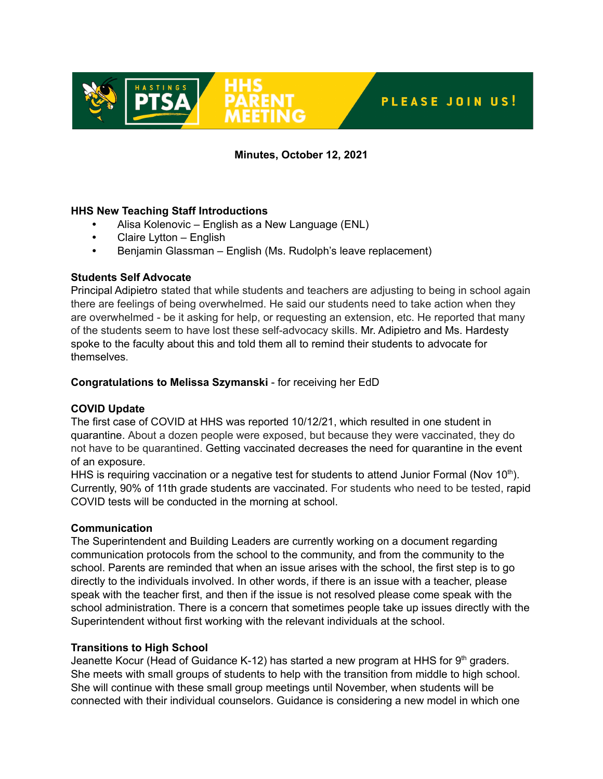

# **Minutes, October 12, 2021**

## **HHS New Teaching Staff Introductions**

- **•** Alisa Kolenovic English as a New Language (ENL)
- **•** Claire Lytton English
- **•** Benjamin Glassman English (Ms. Rudolph's leave replacement)

## **Students Self Advocate**

Principal Adipietro stated that while students and teachers are adjusting to being in school again there are feelings of being overwhelmed. He said our students need to take action when they are overwhelmed - be it asking for help, or requesting an extension, etc. He reported that many of the students seem to have lost these self-advocacy skills. Mr. Adipietro and Ms. Hardesty spoke to the faculty about this and told them all to remind their students to advocate for themselves.

# **Congratulations to Melissa Szymanski** - for receiving her EdD

# **COVID Update**

The first case of COVID at HHS was reported 10/12/21, which resulted in one student in quarantine. About a dozen people were exposed, but because they were vaccinated, they do not have to be quarantined. Getting vaccinated decreases the need for quarantine in the event of an exposure.

HHS is requiring vaccination or a negative test for students to attend Junior Formal (Nov 10<sup>th</sup>). Currently, 90% of 11th grade students are vaccinated. For students who need to be tested, rapid COVID tests will be conducted in the morning at school.

## **Communication**

The Superintendent and Building Leaders are currently working on a document regarding communication protocols from the school to the community, and from the community to the school. Parents are reminded that when an issue arises with the school, the first step is to go directly to the individuals involved. In other words, if there is an issue with a teacher, please speak with the teacher first, and then if the issue is not resolved please come speak with the school administration. There is a concern that sometimes people take up issues directly with the Superintendent without first working with the relevant individuals at the school.

## **Transitions to High School**

Jeanette Kocur (Head of Guidance K-12) has started a new program at HHS for 9<sup>th</sup> graders. She meets with small groups of students to help with the transition from middle to high school. She will continue with these small group meetings until November, when students will be connected with their individual counselors. Guidance is considering a new model in which one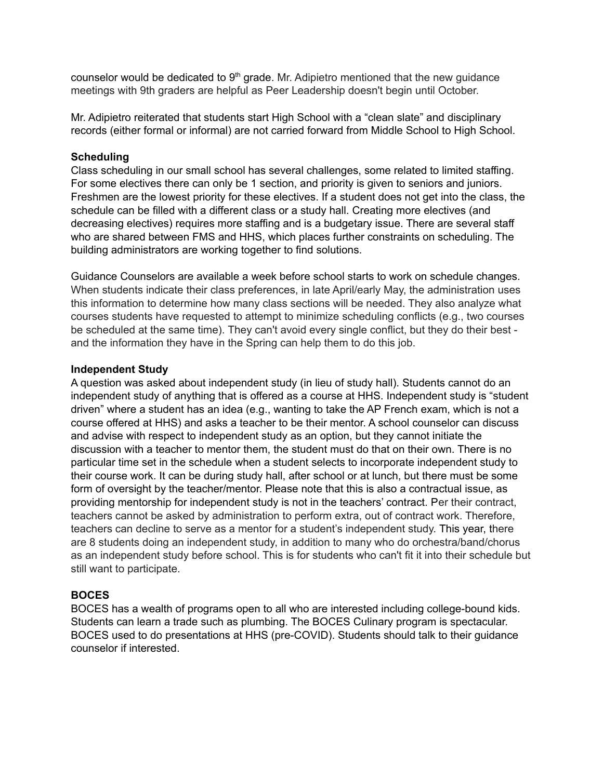counselor would be dedicated to 9<sup>th</sup> grade. Mr. Adipietro mentioned that the new guidance meetings with 9th graders are helpful as Peer Leadership doesn't begin until October.

Mr. Adipietro reiterated that students start High School with a "clean slate" and disciplinary records (either formal or informal) are not carried forward from Middle School to High School.

## **Scheduling**

Class scheduling in our small school has several challenges, some related to limited staffing. For some electives there can only be 1 section, and priority is given to seniors and juniors. Freshmen are the lowest priority for these electives. If a student does not get into the class, the schedule can be filled with a different class or a study hall. Creating more electives (and decreasing electives) requires more staffing and is a budgetary issue. There are several staff who are shared between FMS and HHS, which places further constraints on scheduling. The building administrators are working together to find solutions.

Guidance Counselors are available a week before school starts to work on schedule changes. When students indicate their class preferences, in late April/early May, the administration uses this information to determine how many class sections will be needed. They also analyze what courses students have requested to attempt to minimize scheduling conflicts (e.g., two courses be scheduled at the same time). They can't avoid every single conflict, but they do their best and the information they have in the Spring can help them to do this job.

## **Independent Study**

A question was asked about independent study (in lieu of study hall). Students cannot do an independent study of anything that is offered as a course at HHS. Independent study is "student driven" where a student has an idea (e.g., wanting to take the AP French exam, which is not a course offered at HHS) and asks a teacher to be their mentor. A school counselor can discuss and advise with respect to independent study as an option, but they cannot initiate the discussion with a teacher to mentor them, the student must do that on their own. There is no particular time set in the schedule when a student selects to incorporate independent study to their course work. It can be during study hall, after school or at lunch, but there must be some form of oversight by the teacher/mentor. Please note that this is also a contractual issue, as providing mentorship for independent study is not in the teachers' contract. Per their contract, teachers cannot be asked by administration to perform extra, out of contract work. Therefore, teachers can decline to serve as a mentor for a student's independent study. This year, there are 8 students doing an independent study, in addition to many who do orchestra/band/chorus as an independent study before school. This is for students who can't fit it into their schedule but still want to participate.

# **BOCES**

BOCES has a wealth of programs open to all who are interested including college-bound kids. Students can learn a trade such as plumbing. The BOCES Culinary program is spectacular. BOCES used to do presentations at HHS (pre-COVID). Students should talk to their guidance counselor if interested.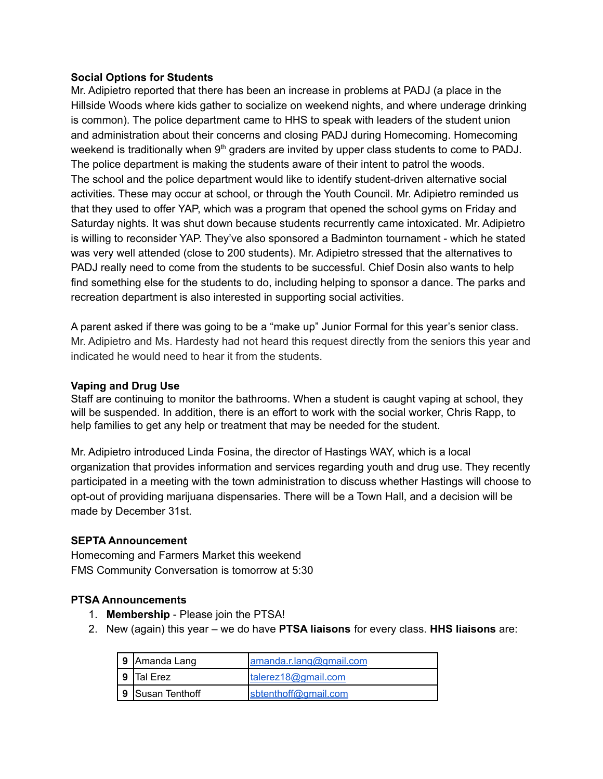## **Social Options for Students**

Mr. Adipietro reported that there has been an increase in problems at PADJ (a place in the Hillside Woods where kids gather to socialize on weekend nights, and where underage drinking is common). The police department came to HHS to speak with leaders of the student union and administration about their concerns and closing PADJ during Homecoming. Homecoming weekend is traditionally when  $9<sup>th</sup>$  graders are invited by upper class students to come to PADJ. The police department is making the students aware of their intent to patrol the woods. The school and the police department would like to identify student-driven alternative social activities. These may occur at school, or through the Youth Council. Mr. Adipietro reminded us that they used to offer YAP, which was a program that opened the school gyms on Friday and Saturday nights. It was shut down because students recurrently came intoxicated. Mr. Adipietro is willing to reconsider YAP. They've also sponsored a Badminton tournament - which he stated was very well attended (close to 200 students). Mr. Adipietro stressed that the alternatives to PADJ really need to come from the students to be successful. Chief Dosin also wants to help find something else for the students to do, including helping to sponsor a dance. The parks and recreation department is also interested in supporting social activities.

A parent asked if there was going to be a "make up" Junior Formal for this year's senior class. Mr. Adipietro and Ms. Hardesty had not heard this request directly from the seniors this year and indicated he would need to hear it from the students.

#### **Vaping and Drug Use**

Staff are continuing to monitor the bathrooms. When a student is caught vaping at school, they will be suspended. In addition, there is an effort to work with the social worker, Chris Rapp, to help families to get any help or treatment that may be needed for the student.

Mr. Adipietro introduced Linda Fosina, the director of Hastings WAY, which is a local organization that provides information and services regarding youth and drug use. They recently participated in a meeting with the town administration to discuss whether Hastings will choose to opt-out of providing marijuana dispensaries. There will be a Town Hall, and a decision will be made by December 31st.

#### **SEPTA Announcement**

Homecoming and Farmers Market this weekend FMS Community Conversation is tomorrow at 5:30

## **PTSA Announcements**

- 1. **Membership** Please join the PTSA!
- 2. New (again) this year we do have **PTSA liaisons** for every class. **HHS liaisons** are:

| 9 Amanda Lang      | amanda.r.lana@gmail.com |
|--------------------|-------------------------|
| <b>9 ITal Erez</b> | talerez18@gmail.com     |
| 9 Susan Tenthoff   | sbtenthoff@gmail.com    |